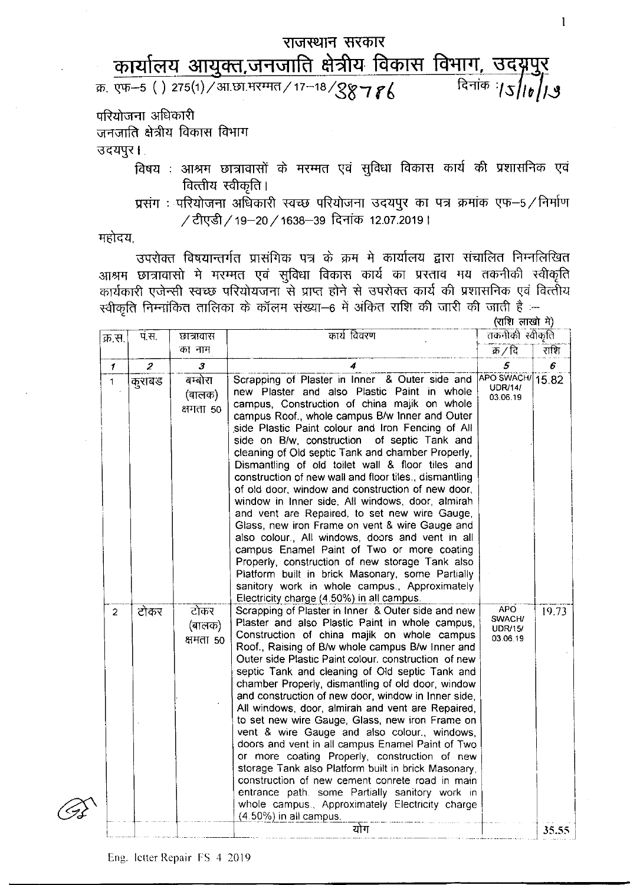## <u>क काबालय आयुपरा,जनजाारा दात्राय ।पयगरा ।पनान, उपपृ</u><br>क्र. एफ–5 ( ) 275(1)/आ.छा.मरम्मत/17–18/<mark>987 *ह*{स्रित</mark>ांक :/ऽ/। राजस्थान सरकार कार्यालय आयुक्त,जनजाति क्षेत्रीय विकास विभाग, उदयपुर<br>एफ–5 () 275(1)/आ.छा.मरम्मत/17–18/88786 परियोजना अधिकारी

जनजाति क्षेत्रीय विकास विभाग

उदयपुर।

- विषय : आश्रम छात्रावासों के मरम्मत एवं सुविधा विकास कार्य की प्रशासनिक एवं वित्तीय स्वीकृति।
- प्रसंग: परियोजना अधिकारी स्वच्छ परियोजना उदयपुर का पत्र क्रमांक एफ-5/निर्माण / टीएडी / 19-20 / 1638-39 दिनांक 12.07.2019 |

महोदय,

उपरोक्त विषयान्तर्गत प्रासंगिक पत्र के क्रम मे कार्यालय द्वारा संचालित निम्नलिखित आश्रम छात्रावासो मे मरम्मत एवं सुविधा विकास कार्य का प्रस्ताव मय तकनीकी स्वीकृति कार्यकारी एजेन्सी स्वच्छ परियोयजना से प्राप्त होने से उपरोक्त कार्य की प्रशासनिक एवं वित्तीय  $f$ स्वीकृति निम्नांकित तालिका के कॉलम संख्या-6 में अंकित राशि की जारी की जाती है :-

| क्र.स.         | पं.स.            | छात्रावास<br>का नाम            | कार्य विवरण                                                                                                                                                                                                                                                                                                                                                                                                                                                                                                                                                                                                                                                                                                                                                                                                                                                                                                                                                                                   | तकनीकी स्वीकृति                                    |       |
|----------------|------------------|--------------------------------|-----------------------------------------------------------------------------------------------------------------------------------------------------------------------------------------------------------------------------------------------------------------------------------------------------------------------------------------------------------------------------------------------------------------------------------------------------------------------------------------------------------------------------------------------------------------------------------------------------------------------------------------------------------------------------------------------------------------------------------------------------------------------------------------------------------------------------------------------------------------------------------------------------------------------------------------------------------------------------------------------|----------------------------------------------------|-------|
|                |                  |                                |                                                                                                                                                                                                                                                                                                                                                                                                                                                                                                                                                                                                                                                                                                                                                                                                                                                                                                                                                                                               | क्र / दि                                           | राशि  |
| $\mathcal{I}$  | $\boldsymbol{z}$ | 3                              |                                                                                                                                                                                                                                                                                                                                                                                                                                                                                                                                                                                                                                                                                                                                                                                                                                                                                                                                                                                               | 5                                                  | 6     |
| $\mathbf{1}$   | कुराबड           | बम्बोरा<br>(बालक)<br>क्षमता 50 | Scrapping of Plaster in Inner & Outer side and<br>new Plaster and also Plastic Paint in whole<br>campus, Construction of china majik on whole<br>campus Roof., whole campus B/w Inner and Outer<br>side Plastic Paint colour and Iron Fencing of All<br>side on B/w, construction<br>of septic Tank and<br>cleaning of Old septic Tank and chamber Properly,<br>Dismantling of old toilet wall & floor tiles and<br>construction of new wall and floor tiles., dismantling<br>of old door, window and construction of new door,<br>window in Inner side, All windows, door, almirah<br>and vent are Repaired, to set new wire Gauge,<br>Glass, new iron Frame on vent & wire Gauge and<br>also colour., All windows, doors and vent in all<br>campus Enamel Paint of Two or more coating<br>Properly, construction of new storage Tank also<br>Platform built in brick Masonary, some Partially<br>sanitory work in whole campus., Approximately<br>Electricity charge (4.50%) in all campus. | <b>APO SWACH/</b><br><b>UDR/14/</b><br>03.06.19    | 15.82 |
| $\overline{2}$ | टोकर             | टोकर<br>(बालक)<br>क्षमता 50    | Scrapping of Plaster in Inner & Outer side and new<br>Plaster and also Plastic Paint in whole campus,<br>Construction of china majik on whole campus<br>Roof., Raising of B/w whole campus B/w Inner and<br>Outer side Plastic Paint colour, construction of new<br>septic Tank and cleaning of Old septic Tank and<br>chamber Properly, dismantling of old door, window<br>and construction of new door, window in Inner side,<br>All windows, door, almirah and vent are Repaired,<br>to set new wire Gauge, Glass, new iron Frame on<br>vent & wire Gauge and also colour., windows,<br>doors and vent in all campus Enamel Paint of Two<br>or more coating Properly, construction of new<br>storage Tank also Platform built in brick Masonary,<br>construction of new cement conrete road in main<br>entrance path. some Partially sanitory work in<br>whole campus., Approximately Electricity charge<br>(4.50%) in all campus.                                                         | <b>APO</b><br>SWACH/<br><b>UDR/15/</b><br>03.06.19 | 19.73 |
|                |                  |                                | योग                                                                                                                                                                                                                                                                                                                                                                                                                                                                                                                                                                                                                                                                                                                                                                                                                                                                                                                                                                                           |                                                    | 35.55 |

 $(\mathbf{q}|\mathbf{r})$  लाखो में)